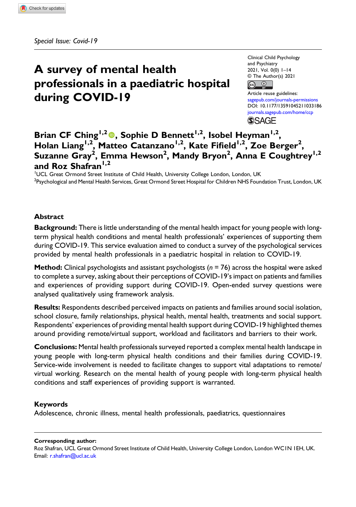# A survey of mental health professionals in a paediatric hospital during COVID-19

Clinical Child Psychology and Psychiatry 2021, Vol. 0(0) 1–14 © The Author(s) 2021  $\bigcirc$ 

Article reuse guidelines: [sagepub.com/journals-permissions](https://uk.sagepub.com/en-gb/journals-permissions) DOI: [10.1177/13591045211033186](https://doi.org/10.1177/13591045211033186) [journals.sagepub.com/home/ccp](https://journals.sagepub.com/home/ccp) **SSAGE** 

# Brian CF Ching<sup>1,2</sup><sup>0</sup>, Sophie D Bennett<sup>1,2</sup>, Isobel Heyman<sup>1,2</sup>, Holan Liang<sup>1,2</sup>, Matteo Catanzano<sup>1,2</sup>, Kate Fifield<sup>1,2</sup>, Zoe Berger<sup>2</sup>, Suzanne Gray<sup>2</sup>, Emma Hewson<sup>2</sup>, Mandy Bryon<sup>2</sup>, Anna E Coughtrey<sup>1,2</sup> and Roz Shafran<sup>1,2</sup>

<sup>1</sup>UCL Great Ormond Street Institute of Child Health, University College London, London, UK <sup>2</sup>Psychological and Mental Health Services, Great Ormond Street Hospital for Children NHS Foundation Trust, London, UK

### **Abstract**

**Background:** There is little understanding of the mental health impact for young people with longterm physical health conditions and mental health professionals' experiences of supporting them during COVID-19. This service evaluation aimed to conduct a survey of the psychological services provided by mental health professionals in a paediatric hospital in relation to COVID-19.

**Method:** Clinical psychologists and assistant psychologists ( $n = 76$ ) across the hospital were asked to complete a survey, asking about their perceptions of COVID-19's impact on patients and families and experiences of providing support during COVID-19. Open-ended survey questions were analysed qualitatively using framework analysis.

Results: Respondents described perceived impacts on patients and families around social isolation, school closure, family relationships, physical health, mental health, treatments and social support. Respondents' experiences of providing mental health support during COVID-19 highlighted themes around providing remote/virtual support, workload and facilitators and barriers to their work.

Conclusions: Mental health professionals surveyed reported a complex mental health landscape in young people with long-term physical health conditions and their families during COVID-19. Service-wide involvement is needed to facilitate changes to support vital adaptations to remote/ virtual working. Research on the mental health of young people with long-term physical health conditions and staff experiences of providing support is warranted.

### Keywords

Adolescence, chronic illness, mental health professionals, paediatrics, questionnaires

#### Corresponding author:

Roz Shafran, UCL Great Ormond Street Institute of Child Health, University College London, London WC1N 1EH, UK. Email: [r.shafran@ucl.ac.uk](mailto:r.shafran@ucl.ac.uk)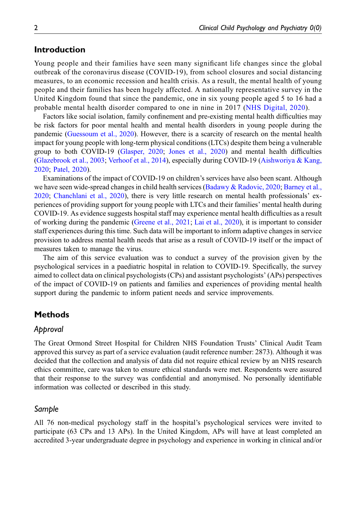# Introduction

Young people and their families have seen many significant life changes since the global outbreak of the coronavirus disease (COVID-19), from school closures and social distancing measures, to an economic recession and health crisis. As a result, the mental health of young people and their families has been hugely affected. A nationally representative survey in the United Kingdom found that since the pandemic, one in six young people aged 5 to 16 had a probable mental health disorder compared to one in nine in 2017 ([NHS Digital, 2020\)](#page-12-0).

Factors like social isolation, family confinement and pre-existing mental health difficulties may be risk factors for poor mental health and mental health disorders in young people during the pandemic [\(Guessoum et al., 2020\)](#page-12-1). However, there is a scarcity of research on the mental health impact for young people with long-term physical conditions (LTCs) despite them being a vulnerable group to both COVID-19 ([Glasper, 2020;](#page-12-2) [Jones et al., 2020\)](#page-12-3) and mental health difficulties [\(Glazebrook et al., 2003;](#page-12-4) [Verhoof et al., 2014\)](#page-13-0), especially during COVID-19 [\(Aishworiya & Kang,](#page-11-0) [2020](#page-11-0); [Patel, 2020\)](#page-12-5).

Examinations of the impact of COVID-19 on children's services have also been scant. Although we have seen wide-spread changes in child health services ([Badawy & Radovic, 2020;](#page-11-1) [Barney et al.,](#page-11-2) [2020](#page-11-2); [Chanchlani et al., 2020](#page-12-6)), there is very little research on mental health professionals' experiences of providing support for young people with LTCs and their families' mental health during COVID-19. As evidence suggests hospital staff may experience mental health difficulties as a result of working during the pandemic [\(Greene et al., 2021;](#page-12-7) [Lai et al., 2020](#page-12-8)), it is important to consider staff experiences during this time. Such data will be important to inform adaptive changes in service provision to address mental health needs that arise as a result of COVID-19 itself or the impact of measures taken to manage the virus.

The aim of this service evaluation was to conduct a survey of the provision given by the psychological services in a paediatric hospital in relation to COVID-19. Specifically, the survey aimed to collect data on clinical psychologists (CPs) and assistant psychologists' (APs) perspectives of the impact of COVID-19 on patients and families and experiences of providing mental health support during the pandemic to inform patient needs and service improvements.

# **Methods**

# Approval

The Great Ormond Street Hospital for Children NHS Foundation Trusts' Clinical Audit Team approved this survey as part of a service evaluation (audit reference number: 2873). Although it was decided that the collection and analysis of data did not require ethical review by an NHS research ethics committee, care was taken to ensure ethical standards were met. Respondents were assured that their response to the survey was confidential and anonymised. No personally identifiable information was collected or described in this study.

# Sample

All 76 non-medical psychology staff in the hospital's psychological services were invited to participate (63 CPs and 13 APs). In the United Kingdom, APs will have at least completed an accredited 3-year undergraduate degree in psychology and experience in working in clinical and/or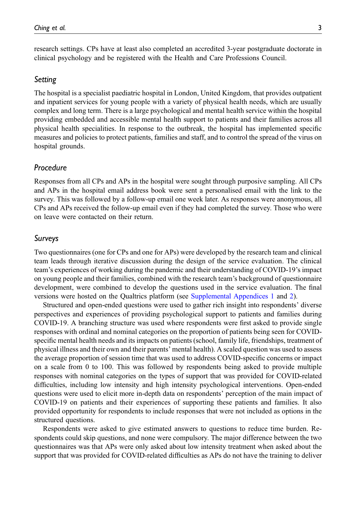research settings. CPs have at least also completed an accredited 3-year postgraduate doctorate in clinical psychology and be registered with the Health and Care Professions Council.

### Setting

The hospital is a specialist paediatric hospital in London, United Kingdom, that provides outpatient and inpatient services for young people with a variety of physical health needs, which are usually complex and long term. There is a large psychological and mental health service within the hospital providing embedded and accessible mental health support to patients and their families across all physical health specialities. In response to the outbreak, the hospital has implemented specific measures and policies to protect patients, families and staff, and to control the spread of the virus on hospital grounds.

# Procedure

Responses from all CPs and APs in the hospital were sought through purposive sampling. All CPs and APs in the hospital email address book were sent a personalised email with the link to the survey. This was followed by a follow-up email one week later. As responses were anonymous, all CPs and APs received the follow-up email even if they had completed the survey. Those who were on leave were contacted on their return.

### Surveys

Two questionnaires (one for CPs and one for APs) were developed by the research team and clinical team leads through iterative discussion during the design of the service evaluation. The clinical team's experiences of working during the pandemic and their understanding of COVID-19's impact on young people and their families, combined with the research team's background of questionnaire development, were combined to develop the questions used in the service evaluation. The final versions were hosted on the Qualtrics platform (see [Supplemental Appendices 1](http://journals.sagepub.com/doi/suppl/10.1177/13591045211033186) and [2](http://journals.sagepub.com/doi/suppl/10.1177/13591045211033186)).

Structured and open-ended questions were used to gather rich insight into respondents' diverse perspectives and experiences of providing psychological support to patients and families during COVID-19. A branching structure was used where respondents were first asked to provide single responses with ordinal and nominal categories on the proportion of patients being seen for COVIDspecific mental health needs and its impacts on patients (school, family life, friendships, treatment of physical illness and their own and their parents' mental health). A scaled question was used to assess the average proportion of session time that was used to address COVID-specific concerns or impact on a scale from 0 to 100. This was followed by respondents being asked to provide multiple responses with nominal categories on the types of support that was provided for COVID-related difficulties, including low intensity and high intensity psychological interventions. Open-ended questions were used to elicit more in-depth data on respondents' perception of the main impact of COVID-19 on patients and their experiences of supporting these patients and families. It also provided opportunity for respondents to include responses that were not included as options in the structured questions.

Respondents were asked to give estimated answers to questions to reduce time burden. Respondents could skip questions, and none were compulsory. The major difference between the two questionnaires was that APs were only asked about low intensity treatment when asked about the support that was provided for COVID-related difficulties as APs do not have the training to deliver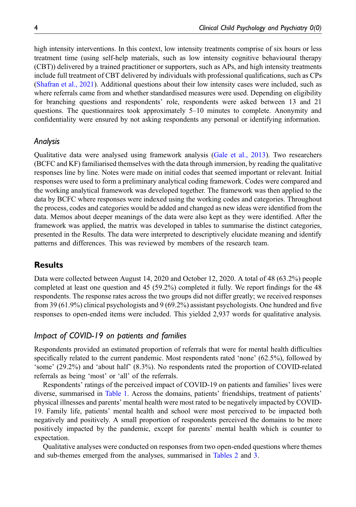high intensity interventions. In this context, low intensity treatments comprise of six hours or less treatment time (using self-help materials, such as low intensity cognitive behavioural therapy (CBT)) delivered by a trained practitioner or supporters, such as APs, and high intensity treatments include full treatment of CBT delivered by individuals with professional qualifications, such as CPs [\(Shafran et al., 2021\)](#page-12-9). Additional questions about their low intensity cases were included, such as where referrals came from and whether standardised measures were used. Depending on eligibility for branching questions and respondents' role, respondents were asked between 13 and 21 questions. The questionnaires took approximately  $5-10$  minutes to complete. Anonymity and confidentiality were ensured by not asking respondents any personal or identifying information.

### Analysis

Qualitative data were analysed using framework analysis [\(Gale et al., 2013\)](#page-12-10). Two researchers (BCFC and KF) familiarised themselves with the data through immersion, by reading the qualitative responses line by line. Notes were made on initial codes that seemed important or relevant. Initial responses were used to form a preliminary analytical coding framework. Codes were compared and the working analytical framework was developed together. The framework was then applied to the data by BCFC where responses were indexed using the working codes and categories. Throughout the process, codes and categories would be added and changed as new ideas were identified from the data. Memos about deeper meanings of the data were also kept as they were identified. After the framework was applied, the matrix was developed in tables to summarise the distinct categories, presented in the Results. The data were interpreted to descriptively elucidate meaning and identify patterns and differences. This was reviewed by members of the research team.

# Results

Data were collected between August 14, 2020 and October 12, 2020. A total of 48 (63.2%) people completed at least one question and 45 (59.2%) completed it fully. We report findings for the 48 respondents. The response rates across the two groups did not differ greatly; we received responses from 39 (61.9%) clinical psychologists and 9 (69.2%) assistant psychologists. One hundred and five responses to open-ended items were included. This yielded 2,937 words for qualitative analysis.

# Impact of COVID-19 on patients and families

Respondents provided an estimated proportion of referrals that were for mental health difficulties specifically related to the current pandemic. Most respondents rated 'none' (62.5%), followed by 'some' (29.2%) and 'about half' (8.3%). No respondents rated the proportion of COVID-related referrals as being 'most' or 'all' of the referrals.

Respondents' ratings of the perceived impact of COVID-19 on patients and families' lives were diverse, summarised in [Table 1](#page-4-0). Across the domains, patients' friendships, treatment of patients' physical illnesses and parents' mental health were most rated to be negatively impacted by COVID-19. Family life, patients' mental health and school were most perceived to be impacted both negatively and positively. A small proportion of respondents perceived the domains to be more positively impacted by the pandemic, except for parents' mental health which is counter to expectation.

Qualitative analyses were conducted on responses from two open-ended questions where themes and sub-themes emerged from the analyses, summarised in [Tables 2](#page-5-0) and [3.](#page-5-1)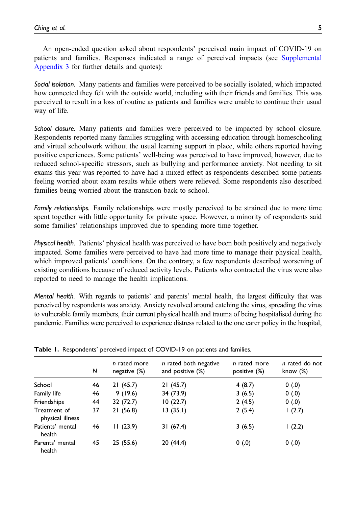Social isolation. Many patients and families were perceived to be socially isolated, which impacted how connected they felt with the outside world, including with their friends and families. This was perceived to result in a loss of routine as patients and families were unable to continue their usual way of life.

School closure. Many patients and families were perceived to be impacted by school closure. Respondents reported many families struggling with accessing education through homeschooling and virtual schoolwork without the usual learning support in place, while others reported having positive experiences. Some patients' well-being was perceived to have improved, however, due to reduced school-specific stressors, such as bullying and performance anxiety. Not needing to sit exams this year was reported to have had a mixed effect as respondents described some patients feeling worried about exam results while others were relieved. Some respondents also described families being worried about the transition back to school.

Family relationships. Family relationships were mostly perceived to be strained due to more time spent together with little opportunity for private space. However, a minority of respondents said some families' relationships improved due to spending more time together.

Physical health. Patients' physical health was perceived to have been both positively and negatively impacted. Some families were perceived to have had more time to manage their physical health, which improved patients' conditions. On the contrary, a few respondents described worsening of existing conditions because of reduced activity levels. Patients who contracted the virus were also reported to need to manage the health implications.

Mental health. With regards to patients' and parents' mental health, the largest difficulty that was perceived by respondents was anxiety. Anxiety revolved around catching the virus, spreading the virus to vulnerable family members, their current physical health and trauma of being hospitalised during the pandemic. Families were perceived to experience distress related to the one carer policy in the hospital,

|                                  | N  | n rated more<br>negative $(\%)$ | n rated both negative<br>and positive (%) | n rated more<br>positive (%) | n rated do not<br>know $(\%)$ |
|----------------------------------|----|---------------------------------|-------------------------------------------|------------------------------|-------------------------------|
| School                           | 46 | 21(45.7)                        | 21(45.7)                                  | 4(8.7)                       | 0(0.0)                        |
| Family life                      | 46 | 9(19.6)                         | 34 (73.9)                                 | 3(6.5)                       | 0(0.0)                        |
| Friendships                      | 44 | 32 (72.7)                       | 10(22.7)                                  | 2(4.5)                       | 0(0.0)                        |
| Treatment of<br>physical illness | 37 | 21(56.8)                        | 13 (35.1)                                 | 2(5.4)                       | 1(2.7)                        |
| Patients' mental<br>health       | 46 | 11(23.9)                        | 31(67.4)                                  | 3(6.5)                       | 1(2.2)                        |
| Parents' mental<br>health        | 45 | 25 (55.6)                       | 20 (44.4)                                 | 0(.0)                        | 0(.0)                         |

<span id="page-4-0"></span>Table 1. Respondents' perceived impact of COVID-19 on patients and families.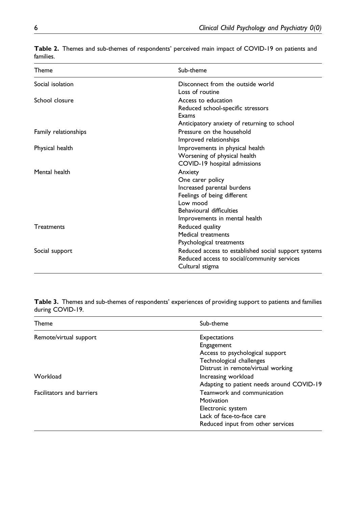| Theme                | Sub-theme                                            |  |
|----------------------|------------------------------------------------------|--|
| Social isolation     | Disconnect from the outside world                    |  |
|                      | Loss of routine                                      |  |
| School closure       | Access to education                                  |  |
|                      | Reduced school-specific stressors                    |  |
|                      | Exams                                                |  |
|                      | Anticipatory anxiety of returning to school          |  |
| Family relationships | Pressure on the household                            |  |
|                      | Improved relationships                               |  |
| Physical health      | Improvements in physical health                      |  |
|                      | Worsening of physical health                         |  |
|                      | COVID-19 hospital admissions                         |  |
| Mental health        | Anxiety                                              |  |
|                      | One carer policy                                     |  |
|                      | Increased parental burdens                           |  |
|                      | Feelings of being different                          |  |
|                      | Low mood                                             |  |
|                      | <b>Behavioural difficulties</b>                      |  |
|                      | Improvements in mental health                        |  |
| <b>Treatments</b>    | Reduced quality                                      |  |
|                      | Medical treatments                                   |  |
|                      | Psychological treatments                             |  |
| Social support       | Reduced access to established social support systems |  |
|                      | Reduced access to social/community services          |  |
|                      | Cultural stigma                                      |  |

<span id="page-5-0"></span>Table 2. Themes and sub-themes of respondents' perceived main impact of COVID-19 on patients and families.

<span id="page-5-1"></span>Table 3. Themes and sub-themes of respondents' experiences of providing support to patients and families during COVID-19.

| Theme                            | Sub-theme                                 |
|----------------------------------|-------------------------------------------|
| Remote/virtual support           | Expectations                              |
|                                  | Engagement                                |
|                                  | Access to psychological support           |
|                                  | Technological challenges                  |
|                                  | Distrust in remote/virtual working        |
| Workload                         | Increasing workload                       |
|                                  | Adapting to patient needs around COVID-19 |
| <b>Facilitators and barriers</b> | Teamwork and communication                |
|                                  | Motivation                                |
|                                  | Electronic system                         |
|                                  | Lack of face-to-face care                 |
|                                  | Reduced input from other services         |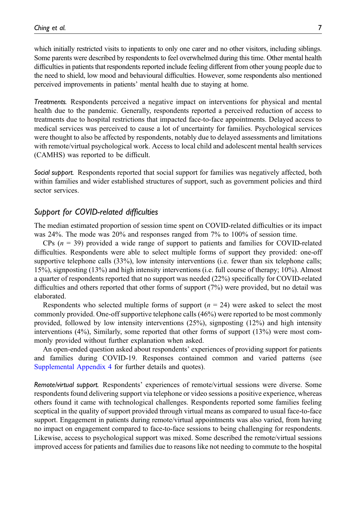which initially restricted visits to inpatients to only one carer and no other visitors, including siblings. Some parents were described by respondents to feel overwhelmed during this time. Other mental health difficulties in patients that respondents reported include feeling different from other young people due to the need to shield, low mood and behavioural difficulties. However, some respondents also mentioned perceived improvements in patients' mental health due to staying at home.

Treatments. Respondents perceived a negative impact on interventions for physical and mental health due to the pandemic. Generally, respondents reported a perceived reduction of access to treatments due to hospital restrictions that impacted face-to-face appointments. Delayed access to medical services was perceived to cause a lot of uncertainty for families. Psychological services were thought to also be affected by respondents, notably due to delayed assessments and limitations with remote/virtual psychological work. Access to local child and adolescent mental health services (CAMHS) was reported to be difficult.

Social support. Respondents reported that social support for families was negatively affected, both within families and wider established structures of support, such as government policies and third sector services.

# Support for COVID-related difficulties

The median estimated proportion of session time spent on COVID-related difficulties or its impact was 24%. The mode was 20% and responses ranged from 7% to 100% of session time.

CPs  $(n = 39)$  provided a wide range of support to patients and families for COVID-related difficulties. Respondents were able to select multiple forms of support they provided: one-off supportive telephone calls (33%), low intensity interventions (i.e. fewer than six telephone calls; 15%), signposting (13%) and high intensity interventions (i.e. full course of therapy; 10%). Almost a quarter of respondents reported that no support was needed (22%) specifically for COVID-related difficulties and others reported that other forms of support (7%) were provided, but no detail was elaborated.

Respondents who selected multiple forms of support  $(n = 24)$  were asked to select the most commonly provided. One-off supportive telephone calls (46%) were reported to be most commonly provided, followed by low intensity interventions (25%), signposting (12%) and high intensity interventions (4%), Similarly, some reported that other forms of support (13%) were most commonly provided without further explanation when asked.

An open-ended question asked about respondents' experiences of providing support for patients and families during COVID-19. Responses contained common and varied patterns (see [Supplemental Appendix 4](http://journals.sagepub.com/doi/suppl/10.1177/13591045211033186) for further details and quotes).

Remote/virtual support. Respondents' experiences of remote/virtual sessions were diverse. Some respondents found delivering support via telephone or video sessions a positive experience, whereas others found it came with technological challenges. Respondents reported some families feeling sceptical in the quality of support provided through virtual means as compared to usual face-to-face support. Engagement in patients during remote/virtual appointments was also varied, from having no impact on engagement compared to face-to-face sessions to being challenging for respondents. Likewise, access to psychological support was mixed. Some described the remote/virtual sessions improved access for patients and families due to reasons like not needing to commute to the hospital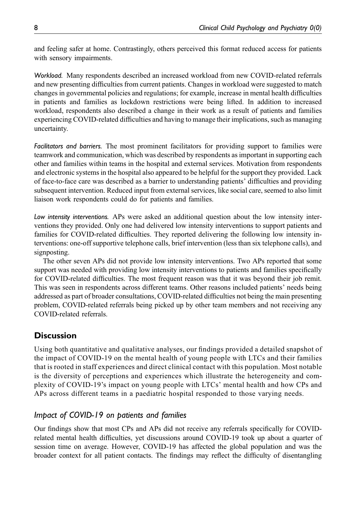and feeling safer at home. Contrastingly, others perceived this format reduced access for patients with sensory impairments.

Workload. Many respondents described an increased workload from new COVID-related referrals and new presenting difficulties from current patients. Changes in workload were suggested to match changes in governmental policies and regulations; for example, increase in mental health difficulties in patients and families as lockdown restrictions were being lifted. In addition to increased workload, respondents also described a change in their work as a result of patients and families experiencing COVID-related difficulties and having to manage their implications, such as managing uncertainty.

Facilitators and barriers. The most prominent facilitators for providing support to families were teamwork and communication, which was described by respondents as important in supporting each other and families within teams in the hospital and external services. Motivation from respondents and electronic systems in the hospital also appeared to be helpful for the support they provided. Lack of face-to-face care was described as a barrier to understanding patients' difficulties and providing subsequent intervention. Reduced input from external services, like social care, seemed to also limit liaison work respondents could do for patients and families.

Low intensity interventions. APs were asked an additional question about the low intensity interventions they provided. Only one had delivered low intensity interventions to support patients and families for COVID-related difficulties. They reported delivering the following low intensity interventions: one-off supportive telephone calls, brief intervention (less than six telephone calls), and signposting.

The other seven APs did not provide low intensity interventions. Two APs reported that some support was needed with providing low intensity interventions to patients and families specifically for COVID-related difficulties. The most frequent reason was that it was beyond their job remit. This was seen in respondents across different teams. Other reasons included patients' needs being addressed as part of broader consultations, COVID-related difficulties not being the main presenting problem, COVID-related referrals being picked up by other team members and not receiving any COVID-related referrals.

# **Discussion**

Using both quantitative and qualitative analyses, our findings provided a detailed snapshot of the impact of COVID-19 on the mental health of young people with LTCs and their families that is rooted in staff experiences and direct clinical contact with this population. Most notable is the diversity of perceptions and experiences which illustrate the heterogeneity and complexity of COVID-19's impact on young people with LTCs' mental health and how CPs and APs across different teams in a paediatric hospital responded to those varying needs.

# Impact of COVID-19 on patients and families

Our findings show that most CPs and APs did not receive any referrals specifically for COVIDrelated mental health difficulties, yet discussions around COVID-19 took up about a quarter of session time on average. However, COVID-19 has affected the global population and was the broader context for all patient contacts. The findings may reflect the difficulty of disentangling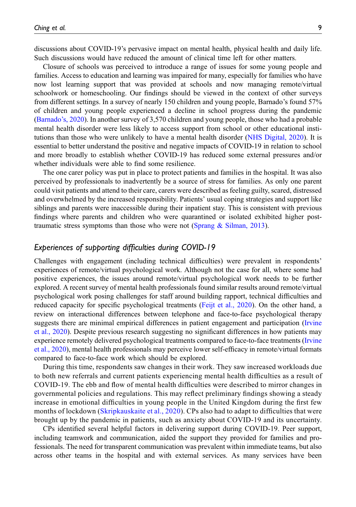discussions about COVID-19's pervasive impact on mental health, physical health and daily life. Such discussions would have reduced the amount of clinical time left for other matters.

Closure of schools was perceived to introduce a range of issues for some young people and families. Access to education and learning was impaired for many, especially for families who have now lost learning support that was provided at schools and now managing remote/virtual schoolwork or homeschooling. Our findings should be viewed in the context of other surveys from different settings. In a survey of nearly 150 children and young people, Barnado's found 57% of children and young people experienced a decline in school progress during the pandemic [\(Barnado](#page-11-3)'s, 2020). In another survey of 3,570 children and young people, those who had a probable mental health disorder were less likely to access support from school or other educational institutions than those who were unlikely to have a mental health disorder [\(NHS Digital, 2020](#page-12-0)). It is essential to better understand the positive and negative impacts of COVID-19 in relation to school and more broadly to establish whether COVID-19 has reduced some external pressures and/or whether individuals were able to find some resilience.

The one carer policy was put in place to protect patients and families in the hospital. It was also perceived by professionals to inadvertently be a source of stress for families. As only one parent could visit patients and attend to their care, carers were described as feeling guilty, scared, distressed and overwhelmed by the increased responsibility. Patients' usual coping strategies and support like siblings and parents were inaccessible during their inpatient stay. This is consistent with previous findings where parents and children who were quarantined or isolated exhibited higher posttraumatic stress symptoms than those who were not ([Sprang & Silman, 2013\)](#page-13-1).

# Experiences of supporting difficulties during COVID-19

Challenges with engagement (including technical difficulties) were prevalent in respondents' experiences of remote/virtual psychological work. Although not the case for all, where some had positive experiences, the issues around remote/virtual psychological work needs to be further explored. A recent survey of mental health professionals found similar results around remote/virtual psychological work posing challenges for staff around building rapport, technical difficulties and reduced capacity for specific psychological treatments [\(Feijt et al., 2020](#page-12-11)). On the other hand, a review on interactional differences between telephone and face-to-face psychological therapy suggests there are minimal empirical differences in patient engagement and participation [\(Irvine](#page-12-12) [et al., 2020](#page-12-12)). Despite previous research suggesting no significant differences in how patients may experience remotely delivered psychological treatments compared to face-to-face treatments [\(Irvine](#page-12-12) [et al., 2020\)](#page-12-12), mental health professionals may perceive lower self-efficacy in remote/virtual formats compared to face-to-face work which should be explored.

During this time, respondents saw changes in their work. They saw increased workloads due to both new referrals and current patients experiencing mental health difficulties as a result of COVID-19. The ebb and flow of mental health difficulties were described to mirror changes in governmental policies and regulations. This may reflect preliminary findings showing a steady increase in emotional difficulties in young people in the United Kingdom during the first few months of lockdown ([Skripkauskaite et al., 2020](#page-13-2)). CPs also had to adapt to difficulties that were brought up by the pandemic in patients, such as anxiety about COVID-19 and its uncertainty.

CPs identified several helpful factors in delivering support during COVID-19. Peer support, including teamwork and communication, aided the support they provided for families and professionals. The need for transparent communication was prevalent within immediate teams, but also across other teams in the hospital and with external services. As many services have been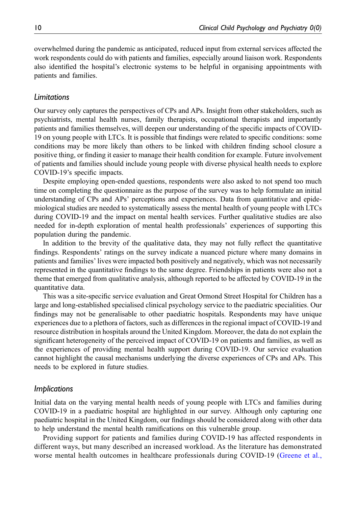overwhelmed during the pandemic as anticipated, reduced input from external services affected the work respondents could do with patients and families, especially around liaison work. Respondents also identified the hospital's electronic systems to be helpful in organising appointments with patients and families.

### Limitations

Our survey only captures the perspectives of CPs and APs. Insight from other stakeholders, such as psychiatrists, mental health nurses, family therapists, occupational therapists and importantly patients and families themselves, will deepen our understanding of the specific impacts of COVID-19 on young people with LTCs. It is possible that findings were related to specific conditions: some conditions may be more likely than others to be linked with children finding school closure a positive thing, or finding it easier to manage their health condition for example. Future involvement of patients and families should include young people with diverse physical health needs to explore COVID-19's specific impacts.

Despite employing open-ended questions, respondents were also asked to not spend too much time on completing the questionnaire as the purpose of the survey was to help formulate an initial understanding of CPs and APs' perceptions and experiences. Data from quantitative and epidemiological studies are needed to systematically assess the mental health of young people with LTCs during COVID-19 and the impact on mental health services. Further qualitative studies are also needed for in-depth exploration of mental health professionals' experiences of supporting this population during the pandemic.

In addition to the brevity of the qualitative data, they may not fully reflect the quantitative findings. Respondents' ratings on the survey indicate a nuanced picture where many domains in patients and families' lives were impacted both positively and negatively, which was not necessarily represented in the quantitative findings to the same degree. Friendships in patients were also not a theme that emerged from qualitative analysis, although reported to be affected by COVID-19 in the quantitative data.

This was a site-specific service evaluation and Great Ormond Street Hospital for Children has a large and long-established specialised clinical psychology service to the paediatric specialities. Our findings may not be generalisable to other paediatric hospitals. Respondents may have unique experiences due to a plethora of factors, such as differences in the regional impact of COVID-19 and resource distribution in hospitals around the United Kingdom. Moreover, the data do not explain the significant heterogeneity of the perceived impact of COVID-19 on patients and families, as well as the experiences of providing mental health support during COVID-19. Our service evaluation cannot highlight the causal mechanisms underlying the diverse experiences of CPs and APs. This needs to be explored in future studies.

### Implications

Initial data on the varying mental health needs of young people with LTCs and families during COVID-19 in a paediatric hospital are highlighted in our survey. Although only capturing one paediatric hospital in the United Kingdom, our findings should be considered along with other data to help understand the mental health ramifications on this vulnerable group.

Providing support for patients and families during COVID-19 has affected respondents in different ways, but many described an increased workload. As the literature has demonstrated worse mental health outcomes in healthcare professionals during COVID-19 ([Greene et al.,](#page-12-7)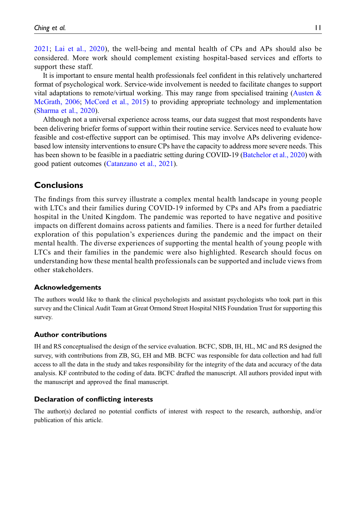[2021;](#page-12-7) [Lai et al., 2020\)](#page-12-8), the well-being and mental health of CPs and APs should also be considered. More work should complement existing hospital-based services and efforts to support these staff.

It is important to ensure mental health professionals feel confident in this relatively unchartered format of psychological work. Service-wide involvement is needed to facilitate changes to support vital adaptations to remote/virtual working. This may range from specialised training (Austen  $\&$ [McGrath, 2006](#page-11-4); [McCord et al., 2015](#page-12-13)) to providing appropriate technology and implementation [\(Sharma et al., 2020\)](#page-12-14).

Although not a universal experience across teams, our data suggest that most respondents have been delivering briefer forms of support within their routine service. Services need to evaluate how feasible and cost-effective support can be optimised. This may involve APs delivering evidencebased low intensity interventions to ensure CPs have the capacity to address more severe needs. This has been shown to be feasible in a paediatric setting during COVID-19 ([Batchelor et al., 2020\)](#page-11-5) with good patient outcomes [\(Catanzano et al., 2021\)](#page-12-15).

# **Conclusions**

The findings from this survey illustrate a complex mental health landscape in young people with LTCs and their families during COVID-19 informed by CPs and APs from a paediatric hospital in the United Kingdom. The pandemic was reported to have negative and positive impacts on different domains across patients and families. There is a need for further detailed exploration of this population's experiences during the pandemic and the impact on their mental health. The diverse experiences of supporting the mental health of young people with LTCs and their families in the pandemic were also highlighted. Research should focus on understanding how these mental health professionals can be supported and include views from other stakeholders.

#### Acknowledgements

The authors would like to thank the clinical psychologists and assistant psychologists who took part in this survey and the Clinical Audit Team at Great Ormond Street Hospital NHS Foundation Trust for supporting this survey.

#### Author contributions

IH and RS conceptualised the design of the service evaluation. BCFC, SDB, IH, HL, MC and RS designed the survey, with contributions from ZB, SG, EH and MB. BCFC was responsible for data collection and had full access to all the data in the study and takes responsibility for the integrity of the data and accuracy of the data analysis. KF contributed to the coding of data. BCFC drafted the manuscript. All authors provided input with the manuscript and approved the final manuscript.

# Declaration of conflicting interests

The author(s) declared no potential conflicts of interest with respect to the research, authorship, and/or publication of this article.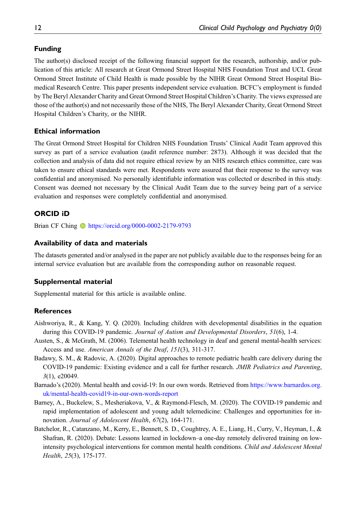# Funding

The author(s) disclosed receipt of the following financial support for the research, authorship, and/or publication of this article: All research at Great Ormond Street Hospital NHS Foundation Trust and UCL Great Ormond Street Institute of Child Health is made possible by the NIHR Great Ormond Street Hospital Biomedical Research Centre. This paper presents independent service evaluation. BCFC's employment is funded by The Beryl Alexander Charity and Great Ormond Street Hospital Children's Charity. The views expressed are those of the author(s) and not necessarily those of the NHS, The Beryl Alexander Charity, Great Ormond Street Hospital Children's Charity, or the NIHR.

# Ethical information

The Great Ormond Street Hospital for Children NHS Foundation Trusts' Clinical Audit Team approved this survey as part of a service evaluation (audit reference number: 2873). Although it was decided that the collection and analysis of data did not require ethical review by an NHS research ethics committee, care was taken to ensure ethical standards were met. Respondents were assured that their response to the survey was confidential and anonymised. No personally identifiable information was collected or described in this study. Consent was deemed not necessary by the Clinical Audit Team due to the survey being part of a service evaluation and responses were completely confidential and anonymised.

# ORCID iD

Brian CF Ching t<https://orcid.org/0000-0002-2179-9793>

### Availability of data and materials

The datasets generated and/or analysed in the paper are not publicly available due to the responses being for an internal service evaluation but are available from the corresponding author on reasonable request.

# Supplemental material

Supplemental material for this article is available online.

# **References**

- <span id="page-11-0"></span>Aishworiya, R., & Kang, Y. Q. (2020). Including children with developmental disabilities in the equation during this COVID-19 pandemic. Journal of Autism and Developmental Disorders, 51(6), 1-4.
- <span id="page-11-4"></span>Austen, S., & McGrath, M. (2006). Telemental health technology in deaf and general mental-health services: Access and use. American Annals of the Deaf, 151(3), 311-317.
- <span id="page-11-1"></span>Badawy, S. M., & Radovic, A. (2020). Digital approaches to remote pediatric health care delivery during the COVID-19 pandemic: Existing evidence and a call for further research. JMIR Pediatrics and Parenting, 3(1), e20049.
- <span id="page-11-3"></span>Barnado's (2020). Mental health and covid-19: In our own words. Retrieved from [https://www.barnardos.org.](https://www.barnardos.org.uk/mental-health-covid19-in-our-own-words-report) [uk/mental-health-covid19-in-our-own-words-report](https://www.barnardos.org.uk/mental-health-covid19-in-our-own-words-report)
- <span id="page-11-2"></span>Barney, A., Buckelew, S., Mesheriakova, V., & Raymond-Flesch, M. (2020). The COVID-19 pandemic and rapid implementation of adolescent and young adult telemedicine: Challenges and opportunities for innovation. Journal of Adolescent Health, 67(2), 164-171.
- <span id="page-11-5"></span>Batchelor, R., Catanzano, M., Kerry, E., Bennett, S. D., Coughtrey, A. E., Liang, H., Curry, V., Heyman, I., & Shafran, R. (2020). Debate: Lessons learned in lockdown–a one-day remotely delivered training on lowintensity psychological interventions for common mental health conditions. Child and Adolescent Mental Health, 25(3), 175-177.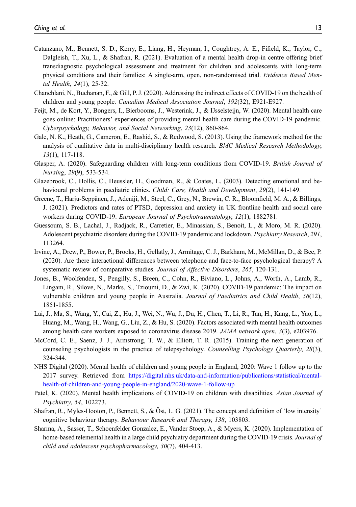- <span id="page-12-15"></span>Catanzano, M., Bennett, S. D., Kerry, E., Liang, H., Heyman, I., Coughtrey, A. E., Fifield, K., Taylor, C., Dalgleish, T., Xu, L., & Shafran, R. (2021). Evaluation of a mental health drop-in centre offering brief transdiagnostic psychological assessment and treatment for children and adolescents with long-term physical conditions and their families: A single-arm, open, non-randomised trial. Evidence Based Mental Health, 24(1), 25-32.
- <span id="page-12-6"></span>Chanchlani, N., Buchanan, F., & Gill, P. J. (2020). Addressing the indirect effects of COVID-19 on the health of children and young people. Canadian Medical Association Journal, 192(32), E921-E927.
- <span id="page-12-11"></span>Feijt, M., de Kort, Y., Bongers, I., Bierbooms, J., Westerink, J., & IJsselsteijn, W. (2020). Mental health care goes online: Practitioners' experiences of providing mental health care during the COVID-19 pandemic. Cyberpsychology, Behavior, and Social Networking, 23(12), 860-864.
- <span id="page-12-10"></span>Gale, N. K., Heath, G., Cameron, E., Rashid, S., & Redwood, S. (2013). Using the framework method for the analysis of qualitative data in multi-disciplinary health research. BMC Medical Research Methodology, 13(1), 117-118.
- <span id="page-12-2"></span>Glasper, A. (2020). Safeguarding children with long-term conditions from COVID-19. British Journal of Nursing, 29(9), 533-534.
- <span id="page-12-4"></span>Glazebrook, C., Hollis, C., Heussler, H., Goodman, R., & Coates, L. (2003). Detecting emotional and behavioural problems in paediatric clinics. Child: Care, Health and Development, 29(2), 141-149.
- <span id="page-12-7"></span>Greene, T., Harju-Seppänen, J., Adeniji, M., Steel, C., Grey, N., Brewin, C. R., Bloomfield, M. A., & Billings, J. (2021). Predictors and rates of PTSD, depression and anxiety in UK frontline health and social care workers during COVID-19. European Journal of Psychotraumatology, 12(1), 1882781.
- <span id="page-12-1"></span>Guessoum, S. B., Lachal, J., Radjack, R., Carretier, E., Minassian, S., Benoit, L., & Moro, M. R. (2020). Adolescent psychiatric disorders during the COVID-19 pandemic and lockdown. Psychiatry Research, 291, 113264.
- <span id="page-12-12"></span>Irvine, A., Drew, P., Bower, P., Brooks, H., Gellatly, J., Armitage, C. J., Barkham, M., McMillan, D., & Bee, P. (2020). Are there interactional differences between telephone and face-to-face psychological therapy? A systematic review of comparative studies. Journal of Affective Disorders, 265, 120-131.
- <span id="page-12-3"></span>Jones, B., Woolfenden, S., Pengilly, S., Breen, C., Cohn, R., Biviano, L., Johns, A., Worth, A., Lamb, R., Lingam, R., Silove, N., Marks, S., Tzioumi, D., & Zwi, K. (2020). COVID-19 pandemic: The impact on vulnerable children and young people in Australia. Journal of Paediatrics and Child Health, 56(12), 1851-1855.
- <span id="page-12-8"></span>Lai, J., Ma, S., Wang, Y., Cai, Z., Hu, J., Wei, N., Wu, J., Du, H., Chen, T., Li, R., Tan, H., Kang, L., Yao, L., Huang, M., Wang, H., Wang, G., Liu, Z., & Hu, S. (2020). Factors associated with mental health outcomes among health care workers exposed to coronavirus disease 2019. JAMA network open, 3(3), e203976.
- <span id="page-12-13"></span>McCord, C. E., Saenz, J. J., Armstrong, T. W., & Elliott, T. R. (2015). Training the next generation of counseling psychologists in the practice of telepsychology. Counselling Psychology Quarterly, 28(3), 324-344.
- <span id="page-12-0"></span>NHS Digital (2020). Mental health of children and young people in England, 2020: Wave 1 follow up to the 2017 survey. Retrieved from [https://digital.nhs.uk/data-and-information/publications/statistical/mental](https://digital.nhs.uk/data-and-information/publications/statistical/mental-health-of-children-and-young-people-in-england/2020-wave-1-follow-up)[health-of-children-and-young-people-in-england/2020-wave-1-follow-up](https://digital.nhs.uk/data-and-information/publications/statistical/mental-health-of-children-and-young-people-in-england/2020-wave-1-follow-up)
- <span id="page-12-5"></span>Patel, K. (2020). Mental health implications of COVID-19 on children with disabilities. Asian Journal of Psychiatry, 54, 102273.
- <span id="page-12-9"></span>Shafran, R., Myles-Hooton, P., Bennett, S., & Öst, L. G. (2021). The concept and definition of 'low intensity' cognitive behaviour therapy. Behaviour Research and Therapy, 138, 103803.
- <span id="page-12-14"></span>Sharma, A., Sasser, T., Schoenfelder Gonzalez, E., Vander Stoep, A., & Myers, K. (2020). Implementation of home-based telemental health in a large child psychiatry department during the COVID-19 crisis. Journal of child and adolescent psychopharmacology, 30(7), 404-413.